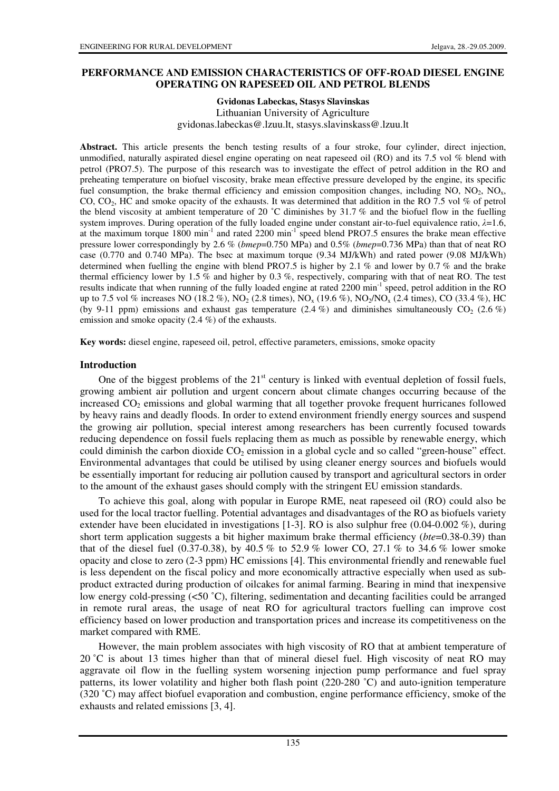### **PERFORMANCE AND EMISSION CHARACTERISTICS OF OFF-ROAD DIESEL ENGINE OPERATING ON RAPESEED OIL AND PETROL BLENDS**

# **Gvidonas Labeckas, Stasys Slavinskas**

Lithuanian University of Agriculture gvidonas.labeckas@.lzuu.lt, stasys.slavinskass@.lzuu.lt

**Abstract.** This article presents the bench testing results of a four stroke, four cylinder, direct injection, unmodified, naturally aspirated diesel engine operating on neat rapeseed oil (RO) and its 7.5 vol % blend with petrol (PRO7.5). The purpose of this research was to investigate the effect of petrol addition in the RO and preheating temperature on biofuel viscosity, brake mean effective pressure developed by the engine, its specific fuel consumption, the brake thermal efficiency and emission composition changes, including  $NO$ ,  $NO<sub>2</sub>$ ,  $NO<sub>x</sub>$ , CO, CO<sub>2</sub>, HC and smoke opacity of the exhausts. It was determined that addition in the RO 7.5 vol % of petrol the blend viscosity at ambient temperature of 20  $^{\circ}$ C diminishes by 31.7 % and the biofuel flow in the fuelling system improves. During operation of the fully loaded engine under constant air-to-fuel equivalence ratio,  $\lambda = 1.6$ , at the maximum torque 1800 min<sup>-1</sup> and rated 2200 min<sup>-1</sup> speed blend PRO7.5 ensures the brake mean effective pressure lower correspondingly by 2.6 % (*bmep*=0.750 MPa) and 0.5% (*bmep*=0.736 MPa) than that of neat RO case (0.770 and 0.740 MPa). The bsec at maximum torque (9.34 MJ/kWh) and rated power (9.08 MJ/kWh) determined when fuelling the engine with blend PRO7.5 is higher by 2.1 % and lower by 0.7 % and the brake thermal efficiency lower by  $1.5\%$  and higher by 0.3%, respectively, comparing with that of neat RO. The test results indicate that when running of the fully loaded engine at rated 2200 min<sup>-1</sup> speed, petrol addition in the RO up to 7.5 vol % increases NO (18.2 %), NO<sub>2</sub> (2.8 times), NO<sub>3</sub> (19.6 %), NO<sub>2</sub>/NO<sub>x</sub> (2.4 times), CO (33.4 %), HC (by 9-11 ppm) emissions and exhaust gas temperature  $(2.4 \%)$  and diminishes simultaneously  $CO<sub>2</sub> (2.6 \%)$ emission and smoke opacity (2.4 %) of the exhausts.

**Key words:** diesel engine, rapeseed oil, petrol, effective parameters, emissions, smoke opacity

#### **Introduction**

One of the biggest problems of the  $21<sup>st</sup>$  century is linked with eventual depletion of fossil fuels, growing ambient air pollution and urgent concern about climate changes occurring because of the increased  $CO<sub>2</sub>$  emissions and global warming that all together provoke frequent hurricanes followed by heavy rains and deadly floods. In order to extend environment friendly energy sources and suspend the growing air pollution, special interest among researchers has been currently focused towards reducing dependence on fossil fuels replacing them as much as possible by renewable energy, which could diminish the carbon dioxide  $CO<sub>2</sub>$  emission in a global cycle and so called "green-house" effect. Environmental advantages that could be utilised by using cleaner energy sources and biofuels would be essentially important for reducing air pollution caused by transport and agricultural sectors in order to the amount of the exhaust gases should comply with the stringent EU emission standards.

To achieve this goal, along with popular in Europe RME, neat rapeseed oil (RO) could also be used for the local tractor fuelling. Potential advantages and disadvantages of the RO as biofuels variety extender have been elucidated in investigations [1-3]. RO is also sulphur free (0.04-0.002 %), during short term application suggests a bit higher maximum brake thermal efficiency (*bte*=0.38-0.39) than that of the diesel fuel (0.37-0.38), by 40.5 % to 52.9 % lower CO, 27.1 % to 34.6 % lower smoke opacity and close to zero (2-3 ppm) HC emissions [4]. This environmental friendly and renewable fuel is less dependent on the fiscal policy and more economically attractive especially when used as subproduct extracted during production of oilcakes for animal farming. Bearing in mind that inexpensive low energy cold-pressing (<50 ˚C), filtering, sedimentation and decanting facilities could be arranged in remote rural areas, the usage of neat RO for agricultural tractors fuelling can improve cost efficiency based on lower production and transportation prices and increase its competitiveness on the market compared with RME.

However, the main problem associates with high viscosity of RO that at ambient temperature of 20 ˚C is about 13 times higher than that of mineral diesel fuel. High viscosity of neat RO may aggravate oil flow in the fuelling system worsening injection pump performance and fuel spray patterns, its lower volatility and higher both flash point (220-280 ˚C) and auto-ignition temperature (320 ˚C) may affect biofuel evaporation and combustion, engine performance efficiency, smoke of the exhausts and related emissions [3, 4].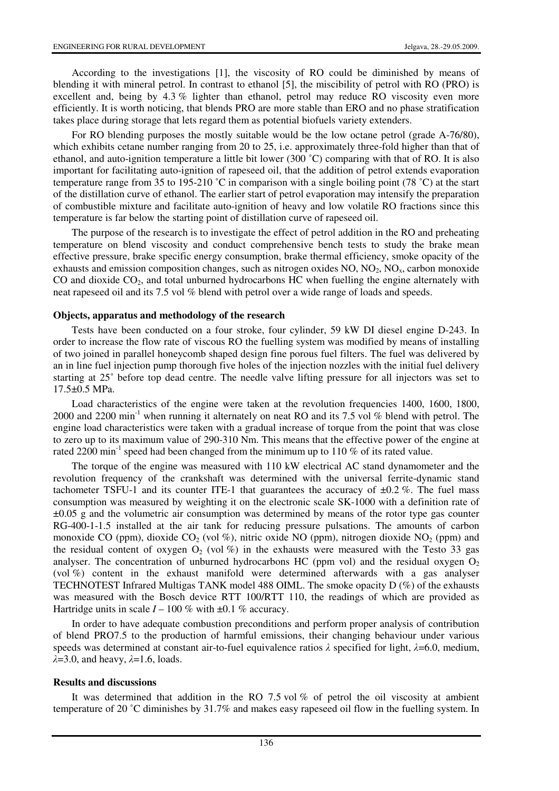According to the investigations [1], the viscosity of RO could be diminished by means of blending it with mineral petrol. In contrast to ethanol [5], the miscibility of petrol with RO (PRO) is excellent and, being by 4.3 % lighter than ethanol, petrol may reduce RO viscosity even more efficiently. It is worth noticing, that blends PRO are more stable than ERO and no phase stratification takes place during storage that lets regard them as potential biofuels variety extenders.

For RO blending purposes the mostly suitable would be the low octane petrol (grade A-76/80), which exhibits cetane number ranging from 20 to 25, i.e. approximately three-fold higher than that of ethanol, and auto-ignition temperature a little bit lower (300 ˚C) comparing with that of RO. It is also important for facilitating auto-ignition of rapeseed oil, that the addition of petrol extends evaporation temperature range from 35 to 195-210 ˚C in comparison with a single boiling point (78 ˚C) at the start of the distillation curve of ethanol. The earlier start of petrol evaporation may intensify the preparation of combustible mixture and facilitate auto-ignition of heavy and low volatile RO fractions since this temperature is far below the starting point of distillation curve of rapeseed oil.

The purpose of the research is to investigate the effect of petrol addition in the RO and preheating temperature on blend viscosity and conduct comprehensive bench tests to study the brake mean effective pressure, brake specific energy consumption, brake thermal efficiency, smoke opacity of the exhausts and emission composition changes, such as nitrogen oxides  $NO$ ,  $NO_2$ ,  $NO_2$ , carbon monoxide CO and dioxide CO2, and total unburned hydrocarbons HC when fuelling the engine alternately with neat rapeseed oil and its 7.5 vol % blend with petrol over a wide range of loads and speeds.

#### **Objects, apparatus and methodology of the research**

Tests have been conducted on a four stroke, four cylinder, 59 kW DI diesel engine D-243. In order to increase the flow rate of viscous RO the fuelling system was modified by means of installing of two joined in parallel honeycomb shaped design fine porous fuel filters. The fuel was delivered by an in line fuel injection pump thorough five holes of the injection nozzles with the initial fuel delivery starting at 25˚ before top dead centre. The needle valve lifting pressure for all injectors was set to 17.5±0.5 MPa.

Load characteristics of the engine were taken at the revolution frequencies 1400, 1600, 1800, 2000 and 2200 min-1 when running it alternately on neat RO and its 7.5 vol % blend with petrol. The engine load characteristics were taken with a gradual increase of torque from the point that was close to zero up to its maximum value of 290-310 Nm. This means that the effective power of the engine at rated 2200 min<sup>-1</sup> speed had been changed from the minimum up to 110 % of its rated value.

The torque of the engine was measured with 110 kW electrical AC stand dynamometer and the revolution frequency of the crankshaft was determined with the universal ferrite-dynamic stand tachometer TSFU-1 and its counter ITE-1 that guarantees the accuracy of  $\pm 0.2$  %. The fuel mass consumption was measured by weighting it on the electronic scale SK-1000 with a definition rate of  $\pm 0.05$  g and the volumetric air consumption was determined by means of the rotor type gas counter RG-400-1-1.5 installed at the air tank for reducing pressure pulsations. The amounts of carbon monoxide CO (ppm), dioxide CO<sub>2</sub> (vol %), nitric oxide NO (ppm), nitrogen dioxide NO<sub>2</sub> (ppm) and the residual content of oxygen  $O_2$  (vol %) in the exhausts were measured with the Testo 33 gas analyser. The concentration of unburned hydrocarbons HC (ppm vol) and the residual oxygen  $O<sub>2</sub>$ (vol %) content in the exhaust manifold were determined afterwards with a gas analyser TECHNOTEST Infrared Multigas TANK model 488 OIML. The smoke opacity D (%) of the exhausts was measured with the Bosch device RTT 100/RTT 110, the readings of which are provided as Hartridge units in scale  $I - 100\%$  with  $\pm 0.1\%$  accuracy.

In order to have adequate combustion preconditions and perform proper analysis of contribution of blend PRO7.5 to the production of harmful emissions, their changing behaviour under various speeds was determined at constant air-to-fuel equivalence ratios  $\lambda$  specified for light,  $\lambda$ =6.0, medium,  $\lambda$ =3.0, and heavy,  $\lambda$ =1.6, loads.

#### **Results and discussions**

It was determined that addition in the RO 7.5 vol % of petrol the oil viscosity at ambient temperature of 20 ˚C diminishes by 31.7% and makes easy rapeseed oil flow in the fuelling system. In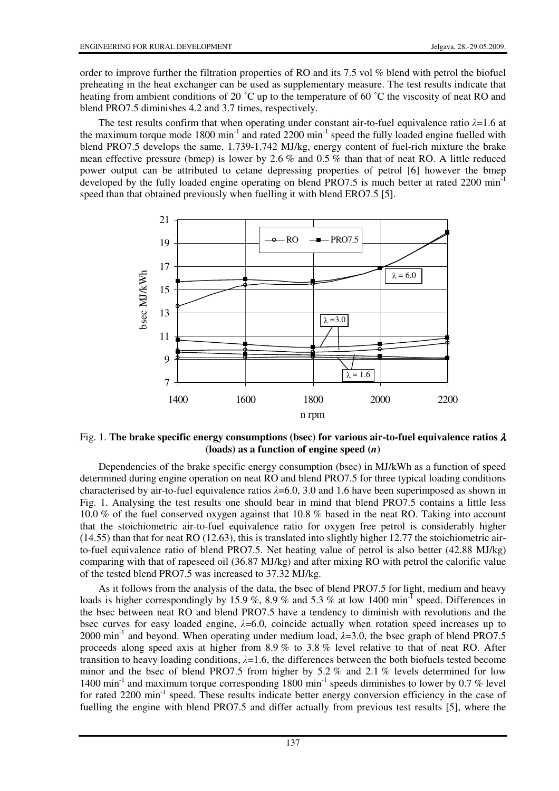order to improve further the filtration properties of RO and its 7.5 vol % blend with petrol the biofuel preheating in the heat exchanger can be used as supplementary measure. The test results indicate that heating from ambient conditions of 20 °C up to the temperature of 60 °C the viscosity of neat RO and blend PRO7.5 diminishes 4.2 and 3.7 times, respectively.

The test results confirm that when operating under constant air-to-fuel equivalence ratio  $\lambda = 1.6$  at the maximum torque mode 1800 min<sup>-1</sup> and rated 2200 min<sup>-1</sup> speed the fully loaded engine fuelled with blend PRO7.5 develops the same, 1.739-1.742 MJ/kg, energy content of fuel-rich mixture the brake mean effective pressure (bmep) is lower by 2.6 % and 0.5 % than that of neat RO. A little reduced power output can be attributed to cetane depressing properties of petrol [6] however the bmep developed by the fully loaded engine operating on blend PRO7.5 is much better at rated 2200 min<sup>-1</sup> speed than that obtained previously when fuelling it with blend ERO7.5 [5].



Fig. 1. **The brake specific energy consumptions (bsec) for various air-to-fuel equivalence ratios** <sup>λ</sup> **(loads) as a function of engine speed (***n***)**

Dependencies of the brake specific energy consumption (bsec) in MJ/kWh as a function of speed determined during engine operation on neat RO and blend PRO7.5 for three typical loading conditions characterised by air-to-fuel equivalence ratios  $\lambda = 6.0$ , 3.0 and 1.6 have been superimposed as shown in Fig. 1. Analysing the test results one should bear in mind that blend PRO7.5 contains a little less 10.0 % of the fuel conserved oxygen against that 10.8 % based in the neat RO. Taking into account that the stoichiometric air-to-fuel equivalence ratio for oxygen free petrol is considerably higher (14.55) than that for neat RO (12.63), this is translated into slightly higher 12.77 the stoichiometric airto-fuel equivalence ratio of blend PRO7.5. Net heating value of petrol is also better (42.88 MJ/kg) comparing with that of rapeseed oil (36.87 MJ/kg) and after mixing RO with petrol the calorific value of the tested blend PRO7.5 was increased to 37.32 MJ/kg.

As it follows from the analysis of the data, the bsec of blend PRO7.5 for light, medium and heavy loads is higher correspondingly by 15.9 %, 8.9 % and 5.3 % at low 1400 min<sup>-1</sup> speed. Differences in the bsec between neat RO and blend PRO7.5 have a tendency to diminish with revolutions and the bsec curves for easy loaded engine,  $\lambda=6.0$ , coincide actually when rotation speed increases up to 2000 min<sup>-1</sup> and beyond. When operating under medium load,  $\lambda = 3.0$ , the bsec graph of blend PRO7.5 proceeds along speed axis at higher from 8.9 % to 3.8 % level relative to that of neat RO. After transition to heavy loading conditions,  $\lambda = 1.6$ , the differences between the both biofuels tested become minor and the bsec of blend PRO7.5 from higher by 5.2 % and 2.1 % levels determined for low 1400 min<sup>-1</sup> and maximum torque corresponding 1800 min<sup>-1</sup> speeds diminishes to lower by 0.7 % level for rated 2200 min<sup>-1</sup> speed. These results indicate better energy conversion efficiency in the case of fuelling the engine with blend PRO7.5 and differ actually from previous test results [5], where the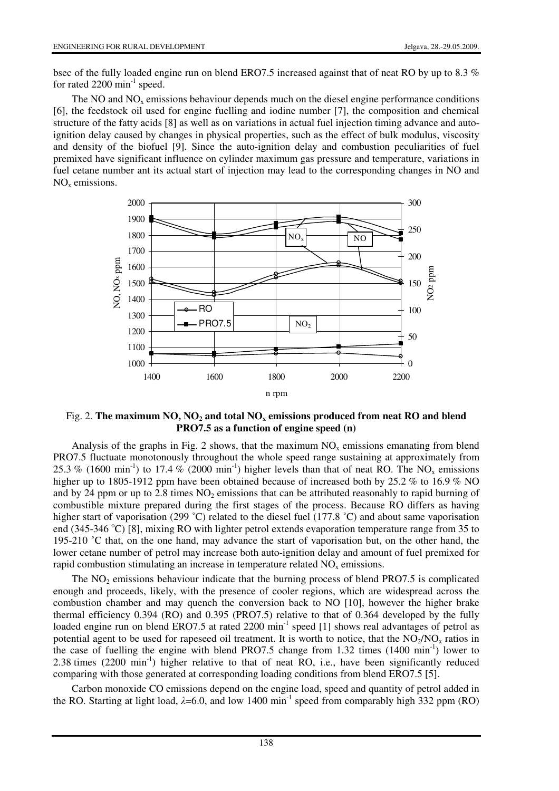bsec of the fully loaded engine run on blend ERO7.5 increased against that of neat RO by up to 8.3 % for rated  $2200 \text{ min}^{-1}$  speed.

The NO and  $NO<sub>x</sub>$  emissions behaviour depends much on the diesel engine performance conditions [6], the feedstock oil used for engine fuelling and iodine number [7], the composition and chemical structure of the fatty acids [8] as well as on variations in actual fuel injection timing advance and autoignition delay caused by changes in physical properties, such as the effect of bulk modulus, viscosity and density of the biofuel [9]. Since the auto-ignition delay and combustion peculiarities of fuel premixed have significant influence on cylinder maximum gas pressure and temperature, variations in fuel cetane number ant its actual start of injection may lead to the corresponding changes in NO and  $NO<sub>x</sub>$  emissions.



Fig. 2. **The maximum NO, NO2 and total NOx emissions produced from neat RO and blend PRO7.5 as a function of engine speed (n)**

Analysis of the graphs in Fig. 2 shows, that the maximum  $NO<sub>x</sub>$  emissions emanating from blend PRO7.5 fluctuate monotonously throughout the whole speed range sustaining at approximately from 25.3 % (1600 min<sup>-1</sup>) to 17.4 % (2000 min<sup>-1</sup>) higher levels than that of neat RO. The NO<sub>x</sub> emissions higher up to 1805-1912 ppm have been obtained because of increased both by 25.2 % to 16.9 % NO and by 24 ppm or up to 2.8 times  $NO<sub>2</sub>$  emissions that can be attributed reasonably to rapid burning of combustible mixture prepared during the first stages of the process. Because RO differs as having higher start of vaporisation (299 °C) related to the diesel fuel (177.8 °C) and about same vaporisation end (345-346 °C) [8], mixing RO with lighter petrol extends evaporation temperature range from 35 to 195-210 ˚C that, on the one hand, may advance the start of vaporisation but, on the other hand, the lower cetane number of petrol may increase both auto-ignition delay and amount of fuel premixed for rapid combustion stimulating an increase in temperature related  $NO<sub>x</sub>$  emissions.

The  $NO<sub>2</sub>$  emissions behaviour indicate that the burning process of blend PRO7.5 is complicated enough and proceeds, likely, with the presence of cooler regions, which are widespread across the combustion chamber and may quench the conversion back to NO [10], however the higher brake thermal efficiency 0.394 (RO) and 0.395 (PRO7.5) relative to that of 0.364 developed by the fully loaded engine run on blend ERO7.5 at rated 2200 min<sup>-1</sup> speed [1] shows real advantages of petrol as potential agent to be used for rapeseed oil treatment. It is worth to notice, that the  $NO<sub>2</sub>/NO<sub>x</sub>$  ratios in the case of fuelling the engine with blend PRO7.5 change from 1.32 times  $(1400 \text{ min}^{-1})$  lower to 2.38 times (2200 min<sup>-1</sup>) higher relative to that of neat RO, i.e., have been significantly reduced comparing with those generated at corresponding loading conditions from blend ERO7.5 [5].

Carbon monoxide CO emissions depend on the engine load, speed and quantity of petrol added in the RO. Starting at light load,  $\lambda$ =6.0, and low 1400 min<sup>-1</sup> speed from comparably high 332 ppm (RO)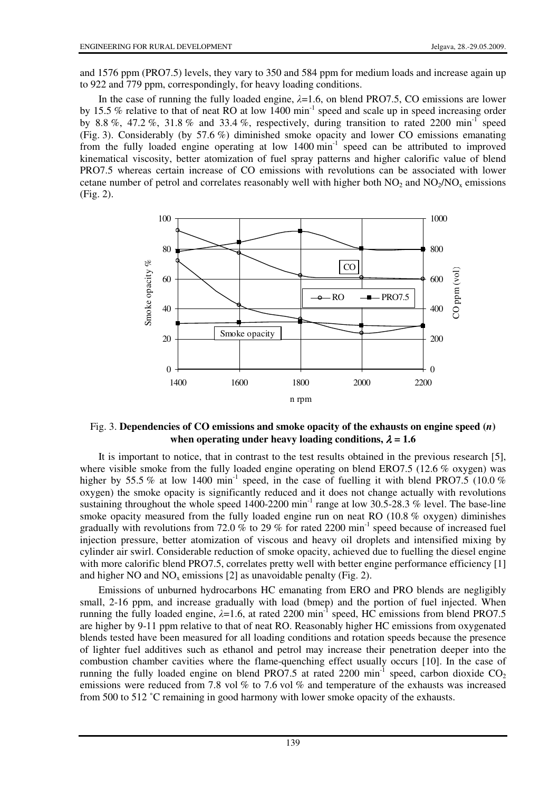and 1576 ppm (PRO7.5) levels, they vary to 350 and 584 ppm for medium loads and increase again up to 922 and 779 ppm, correspondingly, for heavy loading conditions.

In the case of running the fully loaded engine,  $\lambda = 1.6$ , on blend PRO7.5, CO emissions are lower by 15.5 % relative to that of neat RO at low 1400 min<sup>-1</sup> speed and scale up in speed increasing order by 8.8 %, 47.2 %, 31.8 % and 33.4 %, respectively, during transition to rated 2200 min<sup>-1</sup> speed (Fig. 3). Considerably (by 57.6 %) diminished smoke opacity and lower CO emissions emanating from the fully loaded engine operating at low 1400 min<sup>-1</sup> speed can be attributed to improved kinematical viscosity, better atomization of fuel spray patterns and higher calorific value of blend PRO7.5 whereas certain increase of CO emissions with revolutions can be associated with lower cetane number of petrol and correlates reasonably well with higher both  $NO<sub>2</sub>$  and  $NO<sub>2</sub>/NO<sub>x</sub>$  emissions (Fig. 2).



## Fig. 3. **Dependencies of CO emissions and smoke opacity of the exhausts on engine speed (***n***)**  when operating under heavy loading conditions,  $\lambda = 1.6$

It is important to notice, that in contrast to the test results obtained in the previous research [5], where visible smoke from the fully loaded engine operating on blend ERO7.5 (12.6 % oxygen) was higher by 55.5 % at low 1400 min<sup>-1</sup> speed, in the case of fuelling it with blend PRO7.5 (10.0 %) oxygen) the smoke opacity is significantly reduced and it does not change actually with revolutions sustaining throughout the whole speed  $1400-2200$  min<sup>-1</sup> range at low 30.5-28.3 % level. The base-line smoke opacity measured from the fully loaded engine run on neat RO (10.8 % oxygen) diminishes gradually with revolutions from 72.0 % to 29 % for rated 2200  $\text{min}^{-1}$  speed because of increased fuel injection pressure, better atomization of viscous and heavy oil droplets and intensified mixing by cylinder air swirl. Considerable reduction of smoke opacity, achieved due to fuelling the diesel engine with more calorific blend PRO7.5, correlates pretty well with better engine performance efficiency [1] and higher NO and  $NO<sub>x</sub>$  emissions [2] as unavoidable penalty (Fig. 2).

Emissions of unburned hydrocarbons HC emanating from ERO and PRO blends are negligibly small, 2-16 ppm, and increase gradually with load (bmep) and the portion of fuel injected. When running the fully loaded engine,  $\lambda = 1.6$ , at rated 2200 min<sup>-1</sup> speed, HC emissions from blend PRO7.5 are higher by 9-11 ppm relative to that of neat RO. Reasonably higher HC emissions from oxygenated blends tested have been measured for all loading conditions and rotation speeds because the presence of lighter fuel additives such as ethanol and petrol may increase their penetration deeper into the combustion chamber cavities where the flame-quenching effect usually occurs [10]. In the case of running the fully loaded engine on blend PRO7.5 at rated 2200 min<sup>-1</sup> speed, carbon dioxide CO<sub>2</sub> emissions were reduced from 7.8 vol % to 7.6 vol % and temperature of the exhausts was increased from 500 to 512 ˚C remaining in good harmony with lower smoke opacity of the exhausts.